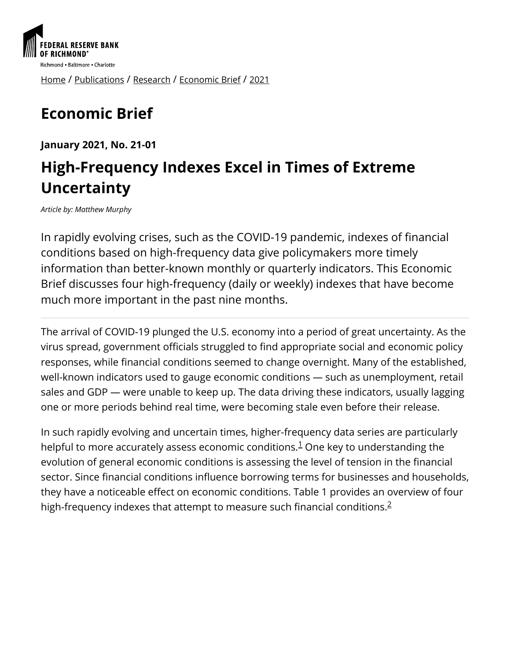

[Home](https://www.richmondfed.org/) / [Publications](https://www.richmondfed.org/publications) / [Research](https://www.richmondfed.org/publications/research) / [Economic Brief](https://www.richmondfed.org/publications/research/economic_brief) / [2021](https://www.richmondfed.org/publications/research/economic_brief/2021)

# **Economic Brief**

**January 2021, No. 21-01**

## **High-Frequency Indexes Excel in Times of Extreme Uncertainty**

*Article by: Matthew Murphy*

In rapidly evolving crises, such as the COVID-19 pandemic, indexes of financial conditions based on high-frequency data give policymakers more timely information than better-known monthly or quarterly indicators. This Economic Brief discusses four high-frequency (daily or weekly) indexes that have become much more important in the past nine months.

The arrival of COVID-19 plunged the U.S. economy into a period of great uncertainty. As the virus spread, government officials struggled to find appropriate social and economic policy responses, while financial conditions seemed to change overnight. Many of the established, well-known indicators used to gauge economic conditions — such as unemployment, retail sales and GDP — were unable to keep up. The data driving these indicators, usually lagging one or more periods behind real time, were becoming stale even before their release.

In such rapidly evolving and uncertain times, higher-frequency data series are particularly helpful to more accurately assess economic conditions[.](#page-6-0) $^1$  One key to understanding the evolution of general economic conditions is assessing the level of tension in the financial sector. Since financial conditions influence borrowing terms for businesses and households, they have a noticeable effect on economic conditions. Table 1 provides an overview of four high-frequency indexes that attempt to measure such financial conditions. $^2$  $^2$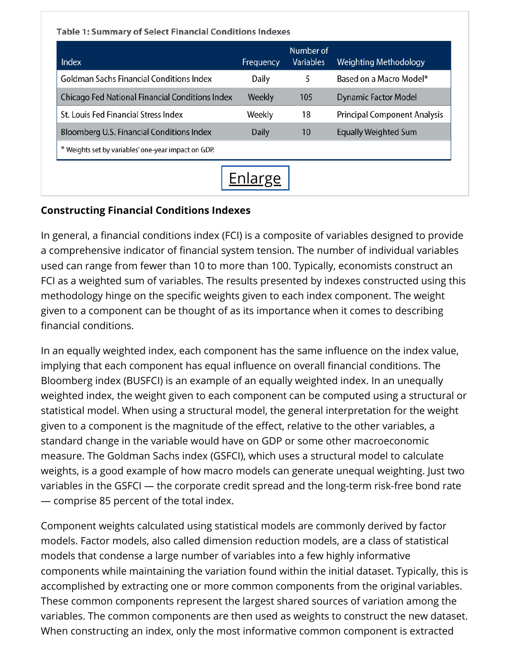| Index                                                  | Frequency    | Number of<br><b>Variables</b> | <b>Weighting Methodology</b>        |
|--------------------------------------------------------|--------------|-------------------------------|-------------------------------------|
| <b>Goldman Sachs Financial Conditions Index</b>        | Daily        | 5                             | Based on a Macro Model*             |
| <b>Chicago Fed National Financial Conditions Index</b> | Weekly       | 105                           | <b>Dynamic Factor Model</b>         |
| St. Louis Fed Financial Stress Index                   | Weekly       | 18                            | <b>Principal Component Analysis</b> |
| Bloomberg U.S. Financial Conditions Index              | <b>Daily</b> | 10                            | <b>Equally Weighted Sum</b>         |
| * Weights set by variables' one-year impact on GDP.    |              |                               |                                     |

#### **Constructing Financial Conditions Indexes**

In general, a financial conditions index (FCI) is a composite of variables designed to provide a comprehensive indicator of financial system tension. The number of individual variables used can range from fewer than 10 to more than 100. Typically, economists construct an FCI as a weighted sum of variables. The results presented by indexes constructed using this methodology hinge on the specific weights given to each index component. The weight given to a component can be thought of as its importance when it comes to describing financial conditions.

In an equally weighted index, each component has the same influence on the index value, implying that each component has equal influence on overall financial conditions. The Bloomberg index (BUSFCI) is an example of an equally weighted index. In an unequally weighted index, the weight given to each component can be computed using a structural or statistical model. When using a structural model, the general interpretation for the weight given to a component is the magnitude of the effect, relative to the other variables, a standard change in the variable would have on GDP or some other macroeconomic measure. The Goldman Sachs index (GSFCI), which uses a structural model to calculate weights, is a good example of how macro models can generate unequal weighting. Just two variables in the GSFCI — the corporate credit spread and the long-term risk-free bond rate — comprise 85 percent of the total index.

Component weights calculated using statistical models are commonly derived by factor models. Factor models, also called dimension reduction models, are a class of statistical models that condense a large number of variables into a few highly informative components while maintaining the variation found within the initial dataset. Typically, this is accomplished by extracting one or more common components from the original variables. These common components represent the largest shared sources of variation among the variables. The common components are then used as weights to construct the new dataset. When constructing an index, only the most informative common component is extracted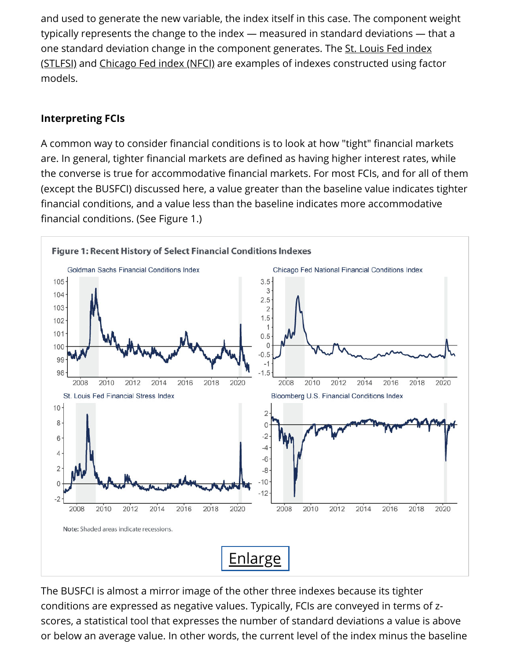and used to generate the new variable, the index itself in this case. The component weight typically represents the change to the index — measured in standard deviations — that a one standard deviation change in the component generates. The St. Louis Fed index [\(STLFSI\) and Chicago Fed index \(NFCI\) are examples of indexes constructed using fac](https://fred.stlouisfed.org/series/STLFSI2)tor models.

#### **Interpreting FCIs**

A common way to consider financial conditions is to look at how "tight" financial markets are. In general, tighter financial markets are defined as having higher interest rates, while the converse is true for accommodative financial markets. For most FCIs, and for all of them (except the BUSFCI) discussed here, a value greater than the baseline value indicates tighter financial conditions, and a value less than the baseline indicates more accommodative financial conditions. (See Figure 1.)



The BUSFCI is almost a mirror image of the other three indexes because its tighter conditions are expressed as negative values. Typically, FCIs are conveyed in terms of zscores, a statistical tool that expresses the number of standard deviations a value is above or below an average value. In other words, the current level of the index minus the baseline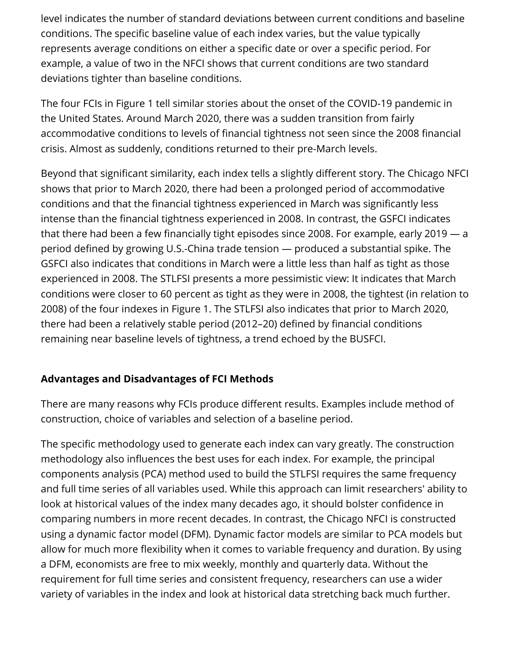level indicates the number of standard deviations between current conditions and baseline conditions. The specific baseline value of each index varies, but the value typically represents average conditions on either a specific date or over a specific period. For example, a value of two in the NFCI shows that current conditions are two standard deviations tighter than baseline conditions.

The four FCIs in Figure 1 tell similar stories about the onset of the COVID-19 pandemic in the United States. Around March 2020, there was a sudden transition from fairly accommodative conditions to levels of financial tightness not seen since the 2008 financial crisis. Almost as suddenly, conditions returned to their pre-March levels.

Beyond that significant similarity, each index tells a slightly different story. The Chicago NFCI shows that prior to March 2020, there had been a prolonged period of accommodative conditions and that the financial tightness experienced in March was significantly less intense than the financial tightness experienced in 2008. In contrast, the GSFCI indicates that there had been a few financially tight episodes since 2008. For example, early 2019  $-$  a period defined by growing U.S.-China trade tension  $-$  produced a substantial spike. The GSFCI also indicates that conditions in March were a little less than half as tight as those experienced in 2008. The STLFSI presents a more pessimistic view: It indicates that March conditions were closer to 60 percent as tight as they were in 2008, the tightest (in relation to 2008) of the four indexes in Figure 1. The STLFSI also indicates that prior to March 2020, there had been a relatively stable period (2012–20) defined by financial conditions remaining near baseline levels of tightness, a trend echoed by the BUSFCI.

#### **Advantages and Disadvantages of FCI Methods**

There are many reasons why FCIs produce different results. Examples include method of construction, choice of variables and selection of a baseline period.

The specific methodology used to generate each index can vary greatly. The construction methodology also influences the best uses for each index. For example, the principal components analysis (PCA) method used to build the STLFSI requires the same frequency and full time series of all variables used. While this approach can limit researchers' ability to look at historical values of the index many decades ago, it should bolster confidence in comparing numbers in more recent decades. In contrast, the Chicago NFCI is constructed using a dynamic factor model (DFM). Dynamic factor models are similar to PCA models but allow for much more flexibility when it comes to variable frequency and duration. By using a DFM, economists are free to mix weekly, monthly and quarterly data. Without the requirement for full time series and consistent frequency, researchers can use a wider variety of variables in the index and look at historical data stretching back much further.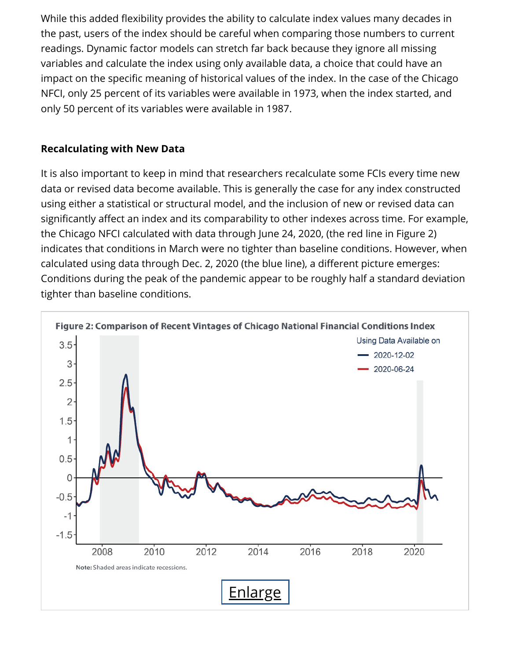While this added flexibility provides the ability to calculate index values many decades in the past, users of the index should be careful when comparing those numbers to current readings. Dynamic factor models can stretch far back because they ignore all missing variables and calculate the index using only available data, a choice that could have an impact on the specific meaning of historical values of the index. In the case of the Chicago NFCI, only 25 percent of its variables were available in 1973, when the index started, and only 50 percent of its variables were available in 1987.

#### **Recalculating with New Data**

It is also important to keep in mind that researchers recalculate some FCIs every time new data or revised data become available. This is generally the case for any index constructed using either a statistical or structural model, and the inclusion of new or revised data can significantly affect an index and its comparability to other indexes across time. For example, the Chicago NFCI calculated with data through June 24, 2020, (the red line in Figure 2) indicates that conditions in March were no tighter than baseline conditions. However, when calculated using data through Dec. 2, 2020 (the blue line), a different picture emerges: Conditions during the peak of the pandemic appear to be roughly half a standard deviation tighter than baseline conditions.

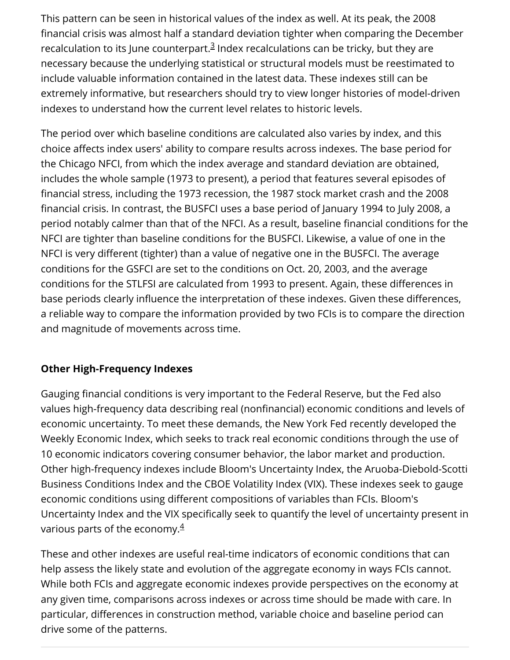This pattern can be seen in historical values of the index as well. At its peak, the 2008 nancial crisis was almost half a standard deviation tighter when comparing the December recalculation to its June counterpart[.](#page-6-2)<sup>3</sup> Index recalculations can be tricky, but they are necessary because the underlying statistical or structural models must be reestimated to include valuable information contained in the latest data. These indexes still can be extremely informative, but researchers should try to view longer histories of model-driven indexes to understand how the current level relates to historic levels.

The period over which baseline conditions are calculated also varies by index, and this choice affects index users' ability to compare results across indexes. The base period for the Chicago NFCI, from which the index average and standard deviation are obtained, includes the whole sample (1973 to present), a period that features several episodes of financial stress, including the 1973 recession, the 1987 stock market crash and the 2008 financial crisis. In contrast, the BUSFCI uses a base period of January 1994 to July 2008, a period notably calmer than that of the NFCI. As a result, baseline financial conditions for the NFCI are tighter than baseline conditions for the BUSFCI. Likewise, a value of one in the NFCI is very different (tighter) than a value of negative one in the BUSFCI. The average conditions for the GSFCI are set to the conditions on Oct. 20, 2003, and the average conditions for the STLFSI are calculated from 1993 to present. Again, these differences in base periods clearly influence the interpretation of these indexes. Given these differences, a reliable way to compare the information provided by two FCIs is to compare the direction and magnitude of movements across time.

#### **Other High-Frequency Indexes**

Gauging financial conditions is very important to the Federal Reserve, but the Fed also values high-frequency data describing real (nonfinancial) economic conditions and levels of economic uncertainty. To meet these demands, the New York Fed recently developed the Weekly Economic Index, which seeks to track real economic conditions through the use of 10 economic indicators covering consumer behavior, the labor market and production. Other high-frequency indexes include Bloom's Uncertainty Index, the Aruoba-Diebold-Scotti Business Conditions Index and the CBOE Volatility Index (VIX). These indexes seek to gauge economic conditions using different compositions of variables than FCIs. Bloom's Uncertainty Index and the VIX specifically seek to quantify the level of uncertainty present in various parts of the economy. $\frac{4}{3}$  $\frac{4}{3}$  $\frac{4}{3}$ 

These and other indexes are useful real-time indicators of economic conditions that can help assess the likely state and evolution of the aggregate economy in ways FCIs cannot. While both FCIs and aggregate economic indexes provide perspectives on the economy at any given time, comparisons across indexes or across time should be made with care. In particular, differences in construction method, variable choice and baseline period can drive some of the patterns.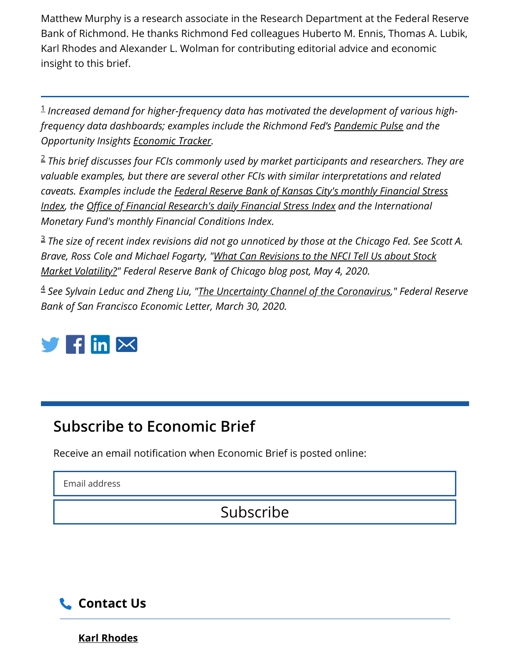Matthew Murphy is a research associate in the Research Department at the Federal Reserve Bank of Richmond. He thanks Richmond Fed colleagues Huberto M. Ennis, Thomas A. Lubik, Karl Rhodes and Alexander L. Wolman for contributing editorial advice and economic insight to this brief.

<span id="page-6-0"></span>*Increased demand for higher-frequency data has motivated the development of various high-*1 *frequency data dashboards; examples include the Richmond Fed's [Pandemic Pulse](https://www.richmondfed.org/publications/research/coronavirus/economic_impact_covid-19_indicators) and the Opportunity Insights [Economic Tracker](https://tracktherecovery.org/).*

<span id="page-6-1"></span>*This brief discusses four FCIs commonly used by market participants and researchers. They are* 2 *valuable examples, but there are several other FCIs with similar interpretations and related [caveats. Examples include the Federal Reserve Bank of Kansas City's monthly Financial Stress](https://www.kansascityfed.org/research/indicatorsdata/kcfsi) <u>Index, the Office of Financial Research's daily Financial Stress Index</u> and the International Monetary Fund's monthly Financial Conditions Index.*

<span id="page-6-2"></span>*The size of recent index revisions did not go unnoticed by those at the Chicago Fed. See Scott A.* 3 *[Brave, Ross Cole and Michael Fogarty, "What Can Revisions to the NFCI Tell Us about Stock](https://www.chicagofed.org/publications/blogs/chicago-fed-insights/2020/nfci-revisions/) Market Volatility?" Federal Reserve Bank of Chicago blog post, May 4, 2020.*

<span id="page-6-3"></span>*See Sylvain Leduc and Zheng Liu, ["The Uncertainty Channel of the Coronavirus](https://www.frbsf.org/economic-research/publications/economic-letter/2020/march/uncertainty-channel-of-coronavirus/)," Federal Reserve* 4 *Bank of San Francisco Economic Letter, March 30, 2020.*



## **Subscribe to Economic Brief**

Receive an email notification when Economic Brief is posted online:

Email address

## Subscribe



**[Karl Rhodes](https://www.richmondfed.org/contact_us/?mapid=659cbb47-85b6-4287-bf6d-c118ae4dcddd&r=79e2d315-e452-40a5-98a8-cc70aeb277bf)**